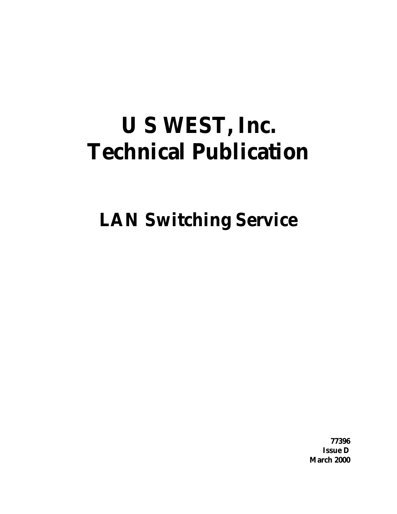# **U S WEST, Inc. Technical Publication**

**LAN Switching Service**

**77396 Issue D March 2000**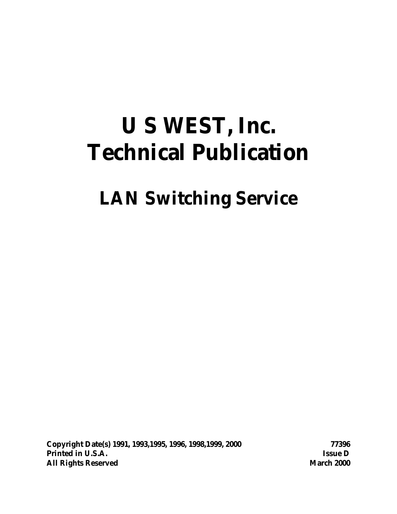# **U S WEST, Inc. Technical Publication**

# **LAN Switching Service**

**Copyright Date(s) 1991, 1993,1995, 1996, 1998,1999, 2000 77396 Printed in U.S.A. Issue D All Rights Reserved March 2000**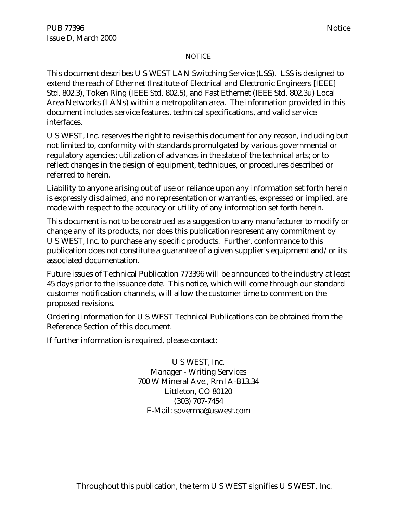#### NOTICE

This document describes U S WEST LAN Switching Service (LSS). LSS is designed to extend the reach of Ethernet (Institute of Electrical and Electronic Engineers [IEEE] Std. 802.3), Token Ring (IEEE Std. 802.5), and Fast Ethernet (IEEE Std. 802.3u) Local Area Networks (LANs) within a metropolitan area. The information provided in this document includes service features, technical specifications, and valid service interfaces.

U S WEST, Inc. reserves the right to revise this document for any reason, including but not limited to, conformity with standards promulgated by various governmental or regulatory agencies; utilization of advances in the state of the technical arts; or to reflect changes in the design of equipment, techniques, or procedures described or referred to herein.

Liability to anyone arising out of use or reliance upon any information set forth herein is expressly disclaimed, and no representation or warranties, expressed or implied, are made with respect to the accuracy or utility of any information set forth herein.

This document is not to be construed as a suggestion to any manufacturer to modify or change any of its products, nor does this publication represent any commitment by U S WEST, Inc. to purchase any specific products. Further, conformance to this publication does not constitute a guarantee of a given supplier's equipment and/or its associated documentation.

Future issues of Technical Publication 773396 will be announced to the industry at least 45 days prior to the issuance date. This notice, which will come through our standard customer notification channels, will allow the customer time to comment on the proposed revisions.

Ordering information for U S WEST Technical Publications can be obtained from the Reference Section of this document.

If further information is required, please contact:

U S WEST, Inc. Manager - Writing Services 700 W Mineral Ave., Rm IA-B13.34 Littleton, CO 80120 (303) 707-7454 E-Mail: soverma@uswest.com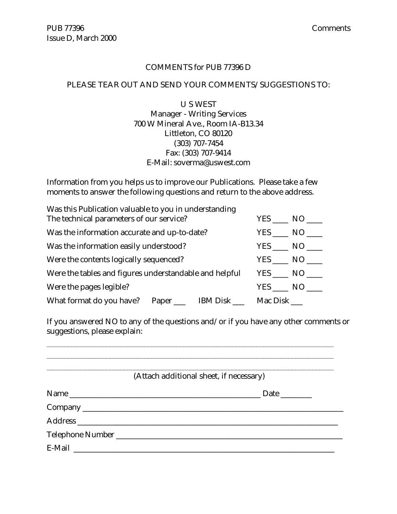#### COMMENTS for PUB 77396 D

#### PLEASE TEAR OUT AND SEND YOUR COMMENTS/SUGGESTIONS TO:

U S WEST Manager - Writing Services 700 W Mineral Ave., Room IA-B13.34 Littleton, CO 80120 (303) 707-7454 Fax: (303) 707-9414 E-Mail: soverma@uswest.com

Information from you helps us to improve our Publications. Please take a few moments to answer the following questions and return to the above address.

| Was this Publication valuable to you in understanding                 |                   |
|-----------------------------------------------------------------------|-------------------|
| The technical parameters of our service?                              | YES NO            |
| Was the information accurate and up-to-date?                          | $YES$ NO $\qquad$ |
| Was the information easily understood?                                | $YES$ NO $\_\_$   |
| Were the contents logically sequenced?                                | YES NO            |
| Were the tables and figures understandable and helpful                | YES NO            |
| Were the pages legible?                                               | YES NO            |
| What format do you have? Paper ______ IBM Disk _______ Mac Disk _____ |                   |

If you answered NO to any of the questions and/or if you have any other comments or suggestions, please explain:

| (Attach additional sheet, if necessary) |
|-----------------------------------------|
|                                         |
|                                         |
|                                         |
|                                         |
|                                         |
|                                         |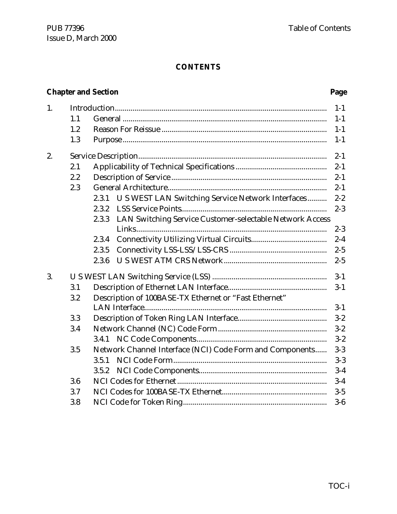#### **CONTENTS**

# **Chapter and Section Page**

| 1. |     |                                                                   | $1 - 1$ |
|----|-----|-------------------------------------------------------------------|---------|
|    | 1.1 |                                                                   | $1-1$   |
|    | 1.2 |                                                                   | $1 - 1$ |
|    | 1.3 |                                                                   | $1-1$   |
| 2. |     |                                                                   | $2 - 1$ |
|    | 2.1 |                                                                   | $2 - 1$ |
|    | 2.2 |                                                                   | $2 - 1$ |
|    | 2.3 |                                                                   | $2 - 1$ |
|    |     | U S WEST LAN Switching Service Network Interfaces<br>2.3.1        | $2 - 2$ |
|    |     | 2.3.2                                                             | $2 - 3$ |
|    |     | LAN Switching Service Customer-selectable Network Access<br>2.3.3 |         |
|    |     |                                                                   | $2 - 3$ |
|    |     | 2.3.4                                                             | $2 - 4$ |
|    |     | 2.3.5                                                             | $2 - 5$ |
|    |     | 2.3.6                                                             | $2 - 5$ |
| 3. |     |                                                                   | $3 - 1$ |
|    | 3.1 |                                                                   | $3 - 1$ |
|    | 3.2 | Description of 100BASE-TX Ethernet or "Fast Ethernet"             |         |
|    |     |                                                                   | $3-1$   |
|    | 3.3 |                                                                   | $3 - 2$ |
|    | 3.4 |                                                                   | $3 - 2$ |
|    |     |                                                                   | $3 - 2$ |
|    | 3.5 | Network Channel Interface (NCI) Code Form and Components          | $3-3$   |
|    |     | 3.5.1                                                             | $3-3$   |
|    |     | 3.5.2                                                             | $3-4$   |
|    | 3.6 |                                                                   | $3-4$   |
|    | 3.7 |                                                                   | $3-5$   |
|    | 3.8 |                                                                   | $3-6$   |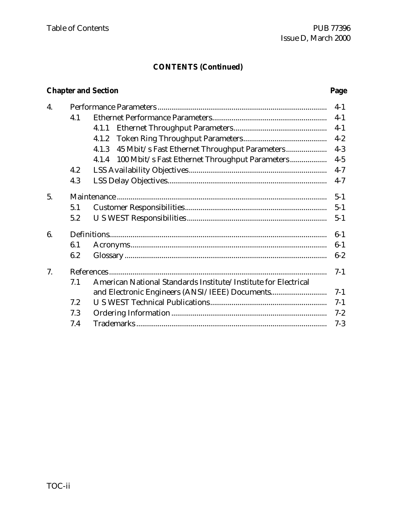# **CONTENTS (Continued)**

# **Chapter and Section Page**

| 4. |     |                                                                | $4-1$   |
|----|-----|----------------------------------------------------------------|---------|
|    | 4.1 |                                                                | $4-1$   |
|    |     | 4.1.1                                                          | $4 - 1$ |
|    |     | 4.1.2                                                          | $4 - 2$ |
|    |     | 4.1.3                                                          | $4 - 3$ |
|    |     | 100 Mbit/s Fast Ethernet Throughput Parameters<br>4.1.4        | $4 - 5$ |
|    | 4.2 |                                                                | $4 - 7$ |
|    | 4.3 |                                                                | $4 - 7$ |
| 5. |     |                                                                | $5 - 1$ |
|    | 5.1 |                                                                | $5 - 1$ |
|    | 5.2 |                                                                | $5 - 1$ |
| 6. |     |                                                                |         |
|    | 6.1 |                                                                | $6-1$   |
|    | 6.2 |                                                                | $6 - 2$ |
| 7. |     |                                                                | $7-1$   |
|    | 7.1 | American National Standards Institute/Institute for Electrical |         |
|    |     | and Electronic Engineers (ANSI/IEEE) Documents                 | $7-1$   |
|    | 7.2 |                                                                | $7-1$   |
|    | 7.3 |                                                                | $7 - 2$ |
|    | 7.4 |                                                                | $7 - 3$ |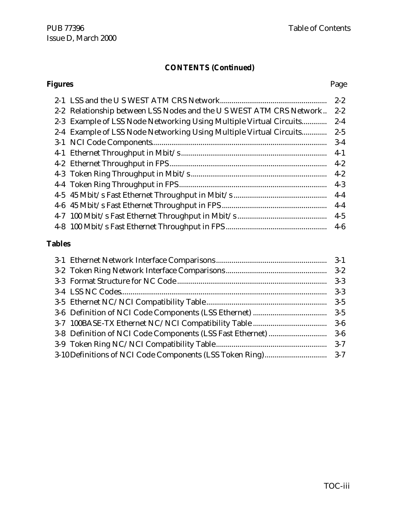#### **CONTENTS (Continued)**

# **Figures** Page 2-1 LSS and the U S WEST ATM CRS Network....................................................... 2-2 2-2 Relationship between LSS Nodes and the U S WEST ATM CRS Network.. 2-2 2-3 Example of LSS Node Networking Using Multiple Virtual Circuits............. 2-4 2-4 Example of LSS Node Networking Using Multiple Virtual Circuits............. 2-5 3-1 NCI Code Components.......................................................................................... 3-4 4-1 Ethernet Throughput in Mbit/s ........................................................................... 4-1 4-2 Ethernet Throughput in FPS................................................................................. 4-2 4-3 Token Ring Throughput in Mbit/s...................................................................... 4-2 4-4 Token Ring Throughput in FPS............................................................................ 4-3 4-5 45 Mbit/s Fast Ethernet Throughput in Mbit/s ................................................ 4-4 4-6 45 Mbit/s Fast Ethernet Throughput in FPS ...................................................... 4-4 4-7 100 Mbit/s Fast Ethernet Throughput in Mbit/s .............................................. 4-5 4-8 100 Mbit/s Fast Ethernet Throughput in FPS .................................................... 4-6

#### **Tables**

| $3 - 3$ |
|---------|
|         |
|         |
|         |
|         |
|         |
|         |
|         |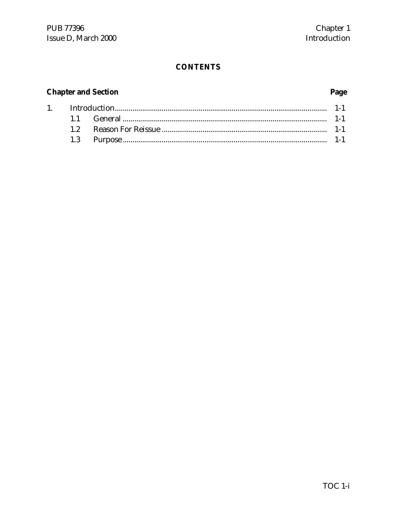# **CONTENTS**

# **Chapter and Section**

# Page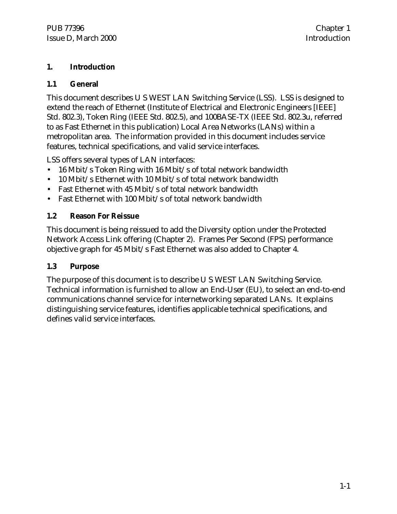#### **1. Introduction**

#### **1.1 General**

This document describes U S WEST LAN Switching Service (LSS). LSS is designed to extend the reach of Ethernet (Institute of Electrical and Electronic Engineers [IEEE] Std. 802.3), Token Ring (IEEE Std. 802.5), and 100BASE-TX (IEEE Std. 802.3u, referred to as Fast Ethernet in this publication) Local Area Networks (LANs) within a metropolitan area. The information provided in this document includes service features, technical specifications, and valid service interfaces.

LSS offers several types of LAN interfaces:

- 16 Mbit/s Token Ring with 16 Mbit/s of total network bandwidth
- 10 Mbit/s Ethernet with 10 Mbit/s of total network bandwidth
- Fast Ethernet with 45 Mbit/s of total network bandwidth
- Fast Ethernet with 100 Mbit/s of total network bandwidth

#### **1.2 Reason For Reissue**

This document is being reissued to add the Diversity option under the Protected Network Access Link offering (Chapter 2). Frames Per Second (FPS) performance objective graph for 45 Mbit/s Fast Ethernet was also added to Chapter 4.

#### **1.3 Purpose**

The purpose of this document is to describe U S WEST LAN Switching Service. Technical information is furnished to allow an End-User (EU), to select an end-to-end communications channel service for internetworking separated LANs. It explains distinguishing service features, identifies applicable technical specifications, and defines valid service interfaces.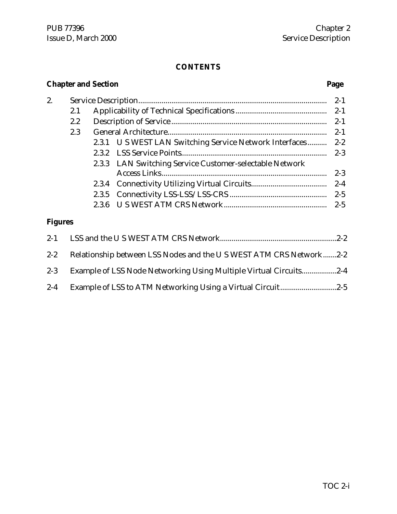#### **CONTENTS**

# **Chapter and Section Page** 2. Service Description................................................................................................. 2-1 2.1 Applicability of Technical Specifications ............................................... 2-1 2.2 Description of Service ................................................................................ 2-1 2.3 General Architecture.................................................................................. 2-1 2.3.1 U S WEST LAN Switching Service Network Interfaces .......... 2-2 2.3.2 LSS Service Points........................................................................... 2-3 2.3.3 LAN Switching Service Customer-selectable Network Access Links..................................................................................... 2-3 2.3.4 Connectivity Utilizing Virtual Circuits....................................... 2-4 2.3.5 Connectivity LSS-LSS/LSS-CRS .................................................. 2-5 2.3.6 U S WEST ATM CRS Network..................................................... 2-5 **Figures** 2-1 LSS and the U S WEST ATM CRS Network............................................................2-2 2-2 Relationship between LSS Nodes and the U S WEST ATM CRS Network.......2-2 2-3 Example of LSS Node Networking Using Multiple Virtual Circuits..................2-4

2-4 Example of LSS to ATM Networking Using a Virtual Circuit.............................2-5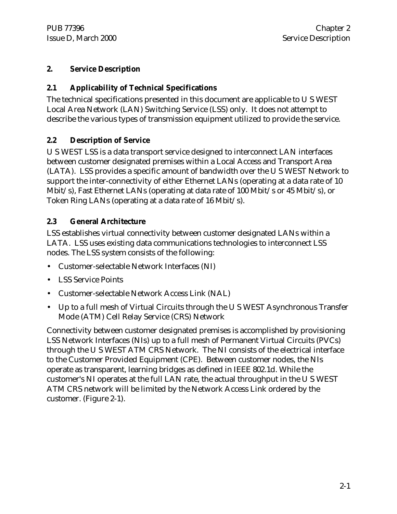#### **2. Service Description**

#### **2.1 Applicability of Technical Specifications**

The technical specifications presented in this document are applicable to U S WEST Local Area Network (LAN) Switching Service (LSS) only. It does not attempt to describe the various types of transmission equipment utilized to provide the service.

#### **2.2 Description of Service**

U S WEST LSS is a data transport service designed to interconnect LAN interfaces between customer designated premises within a Local Access and Transport Area (LATA). LSS provides a specific amount of bandwidth over the U S WEST Network to support the inter-connectivity of either Ethernet LANs (operating at a data rate of 10 Mbit/s), Fast Ethernet LANs (operating at data rate of 100 Mbit/s or 45 Mbit/s), or Token Ring LANs (operating at a data rate of 16 Mbit/s).

#### **2.3 General Architecture**

LSS establishes virtual connectivity between customer designated LANs within a LATA. LSS uses existing data communications technologies to interconnect LSS nodes. The LSS system consists of the following:

- Customer-selectable Network Interfaces (NI)
- LSS Service Points
- Customer-selectable Network Access Link (NAL)
- Up to a full mesh of Virtual Circuits through the U S WEST Asynchronous Transfer Mode (ATM) Cell Relay Service (CRS) Network

Connectivity between customer designated premises is accomplished by provisioning LSS Network Interfaces (NIs) up to a full mesh of Permanent Virtual Circuits (PVCs) through the U S WEST ATM CRS Network. The NI consists of the electrical interface to the Customer Provided Equipment (CPE). Between customer nodes, the NIs operate as transparent, learning bridges as defined in IEEE 802.1d. While the customer's NI operates at the full LAN rate, the actual throughput in the U S WEST ATM CRS network will be limited by the Network Access Link ordered by the customer. (Figure 2-1).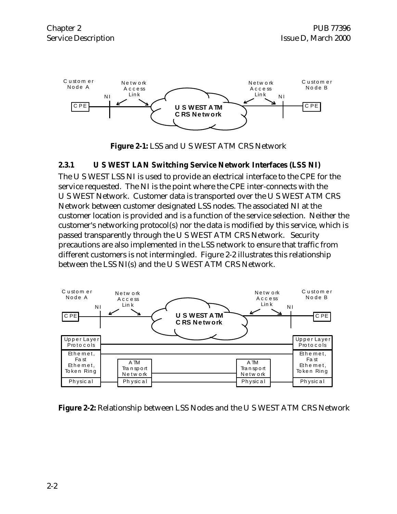

**Figure 2-1:** LSS and U S WEST ATM CRS Network

#### **2.3.1 U S WEST LAN Switching Service Network Interfaces (LSS NI)**

The U S WEST LSS NI is used to provide an electrical interface to the CPE for the service requested. The NI is the point where the CPE inter-connects with the U S WEST Network. Customer data is transported over the U S WEST ATM CRS Network between customer designated LSS nodes. The associated NI at the customer location is provided and is a function of the service selection. Neither the customer's networking protocol(s) nor the data is modified by this service, which is passed transparently through the U S WEST ATM CRS Network. Security precautions are also implemented in the LSS network to ensure that traffic from different customers is not intermingled. Figure 2-2 illustrates this relationship between the LSS NI(s) and the U S WEST ATM CRS Network.



**Figure 2-2:** Relationship between LSS Nodes and the U S WEST ATM CRS Network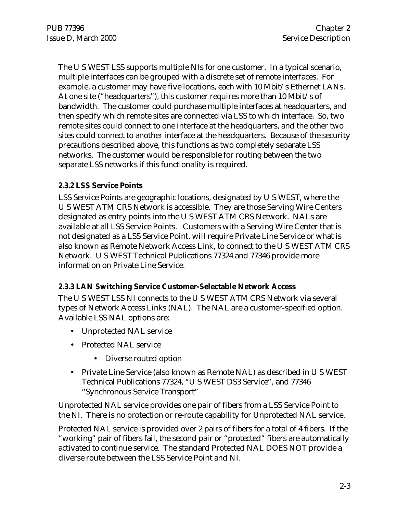The U S WEST LSS supports multiple NIs for one customer. In a typical scenario, multiple interfaces can be grouped with a discrete set of remote interfaces. For example, a customer may have five locations, each with 10 Mbit/s Ethernet LANs. At one site ("headquarters"), this customer requires more than 10 Mbit/s of bandwidth. The customer could purchase multiple interfaces at headquarters, and then specify which remote sites are connected via LSS to which interface. So, two remote sites could connect to one interface at the headquarters, and the other two sites could connect to another interface at the headquarters. Because of the security precautions described above, this functions as two completely separate LSS networks. The customer would be responsible for routing between the two separate LSS networks if this functionality is required.

#### **2.3.2 LSS Service Points**

LSS Service Points are geographic locations, designated by U S WEST, where the U S WEST ATM CRS Network is accessible. They are those Serving Wire Centers designated as entry points into the U S WEST ATM CRS Network. NALs are available at all LSS Service Points. Customers with a Serving Wire Center that is not designated as a LSS Service Point, will require Private Line Service or what is also known as Remote Network Access Link, to connect to the U S WEST ATM CRS Network. U S WEST Technical Publications 77324 and 77346 provide more information on Private Line Service.

#### **2.3.3 LAN Switching Service Customer-Selectable Network Access**

The U S WEST LSS NI connects to the U S WEST ATM CRS Network via several types of Network Access Links (NAL). The NAL are a customer-specified option. Available LSS NAL options are:

- Unprotected NAL service
- Protected NAL service
	- Diverse routed option
- Private Line Service (also known as Remote NAL) as described in U S WEST Technical Publications 77324, "U S WEST DS3 Service", and 77346 "Synchronous Service Transport"

Unprotected NAL service provides one pair of fibers from a LSS Service Point to the NI. There is no protection or re-route capability for Unprotected NAL service.

Protected NAL service is provided over 2 pairs of fibers for a total of 4 fibers. If the "working" pair of fibers fail, the second pair or "protected" fibers are automatically activated to continue service. The standard Protected NAL DOES NOT provide a diverse route between the LSS Service Point and NI.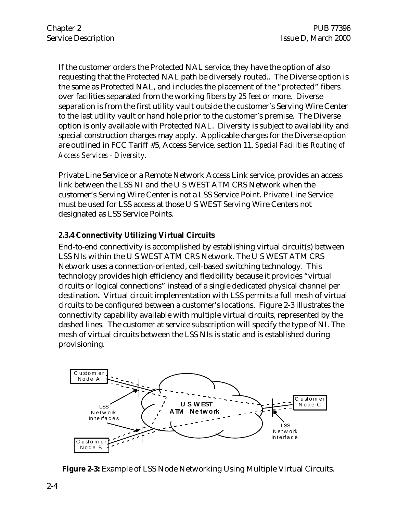If the customer orders the Protected NAL service, they have the option of also requesting that the Protected NAL path be diversely routed.. The Diverse option is the same as Protected NAL, and includes the placement of the "protected" fibers over facilities separated from the working fibers by 25 feet or more. Diverse separation is from the first utility vault outside the customer's Serving Wire Center to the last utility vault or hand hole prior to the customer's premise. The Diverse option is only available with Protected NAL. Diversity is subject to availability and special construction charges may apply. Applicable charges for the Diverse option are outlined in FCC Tariff #5, Access Service, section 11, *Special Facilities Routing of Access Services - Diversity.*

Private Line Service or a Remote Network Access Link service, provides an access link between the LSS NI and the U S WEST ATM CRS Network when the customer's Serving Wire Center is not a LSS Service Point. Private Line Service must be used for LSS access at those U S WEST Serving Wire Centers not designated as LSS Service Points.

### **2.3.4 Connectivity Utilizing Virtual Circuits**

End-to-end connectivity is accomplished by establishing virtual circuit(s) between LSS NIs within the U S WEST ATM CRS Network. The U S WEST ATM CRS Network uses a connection-oriented, cell-based switching technology. This technology provides high efficiency and flexibility because it provides "virtual circuits or logical connections" instead of a single dedicated physical channel per destination**.** Virtual circuit implementation with LSS permits a full mesh of virtual circuits to be configured between a customer's locations. Figure 2-3 illustrates the connectivity capability available with multiple virtual circuits, represented by the dashed lines. The customer at service subscription will specify the type of NI. The mesh of virtual circuits between the LSS NIs is static and is established during provisioning.



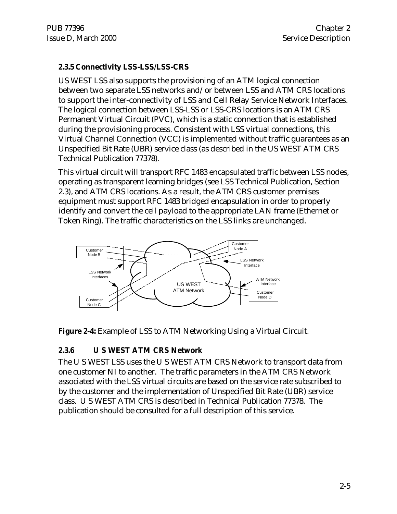#### **2.3.5 Connectivity LSS-LSS/LSS-CRS**

US WEST LSS also supports the provisioning of an ATM logical connection between two separate LSS networks and/or between LSS and ATM CRS locations to support the inter-connectivity of LSS and Cell Relay Service Network Interfaces. The logical connection between LSS-LSS or LSS-CRS locations is an ATM CRS Permanent Virtual Circuit (PVC), which is a static connection that is established during the provisioning process. Consistent with LSS virtual connections, this Virtual Channel Connection (VCC) is implemented without traffic guarantees as an Unspecified Bit Rate (UBR) service class (as described in the US WEST ATM CRS Technical Publication 77378).

This virtual circuit will transport RFC 1483 encapsulated traffic between LSS nodes, operating as transparent learning bridges (see LSS Technical Publication, Section 2.3), and ATM CRS locations. As a result, the ATM CRS customer premises equipment must support RFC 1483 bridged encapsulation in order to properly identify and convert the cell payload to the appropriate LAN frame (Ethernet or Token Ring). The traffic characteristics on the LSS links are unchanged.



**Figure 2-4:** Example of LSS to ATM Networking Using a Virtual Circuit.

#### **2.3.6 U S WEST ATM CRS Network**

The U S WEST LSS uses the U S WEST ATM CRS Network to transport data from one customer NI to another. The traffic parameters in the ATM CRS Network associated with the LSS virtual circuits are based on the service rate subscribed to by the customer and the implementation of Unspecified Bit Rate (UBR) service class. U S WEST ATM CRS is described in Technical Publication 77378. The publication should be consulted for a full description of this service.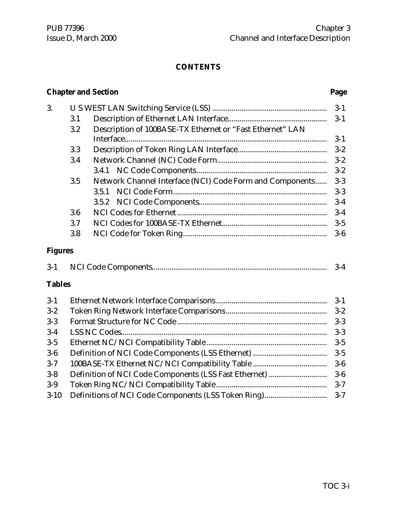#### **CONTENTS**

#### **Chapter and Section Page**

| 3.             |     |                                                           |         |  |  |
|----------------|-----|-----------------------------------------------------------|---------|--|--|
|                | 3.1 |                                                           | $3-1$   |  |  |
|                | 3.2 | Description of 100BASE-TX Ethernet or "Fast Ethernet" LAN |         |  |  |
|                |     |                                                           | $3-1$   |  |  |
|                | 3.3 |                                                           | $3 - 2$ |  |  |
|                | 3.4 |                                                           | $3 - 2$ |  |  |
|                |     |                                                           | $3 - 2$ |  |  |
|                | 3.5 | Network Channel Interface (NCI) Code Form and Components  | $3-3$   |  |  |
|                |     | 3.5.1                                                     | $3-3$   |  |  |
|                |     | 3.5.2                                                     | $3-4$   |  |  |
|                | 3.6 |                                                           | $3-4$   |  |  |
|                | 3.7 |                                                           | $3-5$   |  |  |
|                | 3.8 |                                                           | $3-6$   |  |  |
| <b>Figures</b> |     |                                                           |         |  |  |
| $3-1$          |     |                                                           | $3-4$   |  |  |
| <b>Tables</b>  |     |                                                           |         |  |  |
| $3-1$          |     |                                                           | $3-1$   |  |  |
| $3 - 2$        |     |                                                           | $3-2$   |  |  |
| $3 - 3$        |     |                                                           | $3-3$   |  |  |
| $3-4$          |     |                                                           | $3-3$   |  |  |
| $3 - 5$        |     | $3-5$                                                     |         |  |  |

3-6 Definition of NCI Code Components (LSS Ethernet) ...................................... 3-5 3-7 100BASE-TX Ethernet NC/NCI Compatibility Table ...................................... 3-6 3-8 Definition of NCI Code Components (LSS Fast Ethernet).............................. 3-6 3-9 Token Ring NC/NCI Compatibility Table......................................................... 3-7 3-10 Definitions of NCI Code Components (LSS Token Ring)................................ 3-7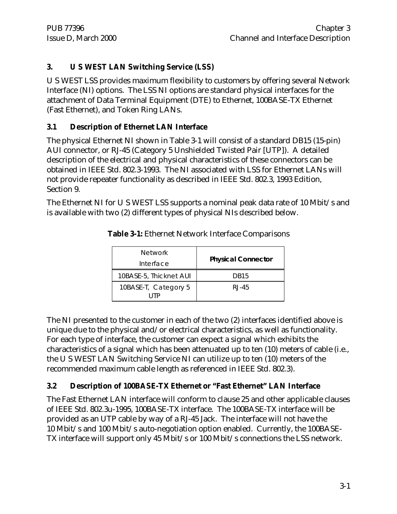### **3. U S WEST LAN Switching Service (LSS)**

U S WEST LSS provides maximum flexibility to customers by offering several Network Interface (NI) options. The LSS NI options are standard physical interfaces for the attachment of Data Terminal Equipment (DTE) to Ethernet, 100BASE-TX Ethernet (Fast Ethernet), and Token Ring LANs.

#### **3.1 Description of Ethernet LAN Interface**

The physical Ethernet NI shown in Table 3-1 will consist of a standard DB15 (15-pin) AUI connector, or RJ-45 (Category 5 Unshielded Twisted Pair [UTP]). A detailed description of the electrical and physical characteristics of these connectors can be obtained in IEEE Std. 802.3-1993. The NI associated with LSS for Ethernet LANs will not provide repeater functionality as described in IEEE Std. 802.3, 1993 Edition, Section 9.

The Ethernet NI for U S WEST LSS supports a nominal peak data rate of 10 Mbit/s and is available with two (2) different types of physical NIs described below.

| <b>Network</b>              |                           |
|-----------------------------|---------------------------|
| Interface                   | <b>Physical Connector</b> |
| 10BASE-5, Thicknet AUI      | DB <sub>15</sub>          |
| 10BASE-T, Category 5<br>HTP | $RJ-45$                   |

**Table 3-1:** Ethernet Network Interface Comparisons

The NI presented to the customer in each of the two (2) interfaces identified above is unique due to the physical and/or electrical characteristics, as well as functionality. For each type of interface, the customer can expect a signal which exhibits the characteristics of a signal which has been attenuated up to ten (10) meters of cable (i.e., the U S WEST LAN Switching Service NI can utilize up to ten (10) meters of the recommended maximum cable length as referenced in IEEE Std. 802.3).

#### **3.2 Description of 100BASE-TX Ethernet or "Fast Ethernet" LAN Interface**

The Fast Ethernet LAN interface will conform to clause 25 and other applicable clauses of IEEE Std. 802.3u-1995, 100BASE-TX interface. The 100BASE-TX interface will be provided as an UTP cable by way of a RJ-45 Jack. The interface will not have the 10 Mbit/s and 100 Mbit/s auto-negotiation option enabled. Currently, the 100BASE-TX interface will support only 45 Mbit/s or 100 Mbit/s connections the LSS network.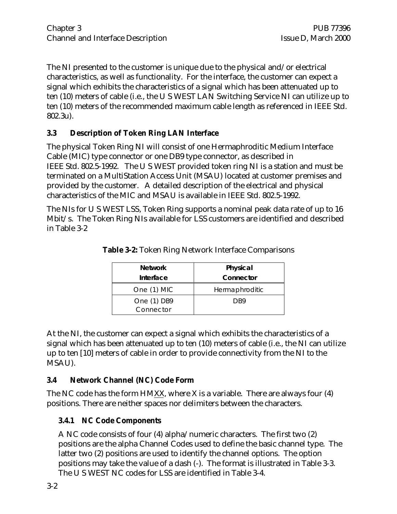The NI presented to the customer is unique due to the physical and/or electrical characteristics, as well as functionality. For the interface, the customer can expect a signal which exhibits the characteristics of a signal which has been attenuated up to ten (10) meters of cable (i.e., the U S WEST LAN Switching Service NI can utilize up to ten (10) meters of the recommended maximum cable length as referenced in IEEE Std. 802.3u).

#### **3.3 Description of Token Ring LAN Interface**

The physical Token Ring NI will consist of one Hermaphroditic Medium Interface Cable (MIC) type connector or one DB9 type connector, as described in IEEE Std. 802.5-1992. The U S WEST provided token ring NI is a station and must be terminated on a MultiStation Access Unit (MSAU) located at customer premises and provided by the customer. A detailed description of the electrical and physical characteristics of the MIC and MSAU is available in IEEE Std. 802.5-1992.

The NIs for U S WEST LSS, Token Ring supports a nominal peak data rate of up to 16 Mbit/s. The Token Ring NIs available for LSS customers are identified and described in Table 3-2

| <b>Network</b> | Physical       |
|----------------|----------------|
| Interface      | Connector      |
| One (1) MIC    | Hermaphroditic |
| One (1) DB9    | DB9            |
| Connector      |                |

**Table 3-2:** Token Ring Network Interface Comparisons

At the NI, the customer can expect a signal which exhibits the characteristics of a signal which has been attenuated up to ten (10) meters of cable (i.e., the NI can utilize up to ten [10] meters of cable in order to provide connectivity from the NI to the MSAU).

#### **3.4 Network Channel (NC) Code Form**

The NC code has the form HMXX, where X is a variable. There are always four (4) positions. There are neither spaces nor delimiters between the characters.

#### **3.4.1 NC Code Components**

A NC code consists of four (4) alpha/numeric characters. The first two (2) positions are the alpha Channel Codes used to define the basic channel type. The latter two (2) positions are used to identify the channel options. The option positions may take the value of a dash (-). The format is illustrated in Table 3-3. The U S WEST NC codes for LSS are identified in Table 3-4.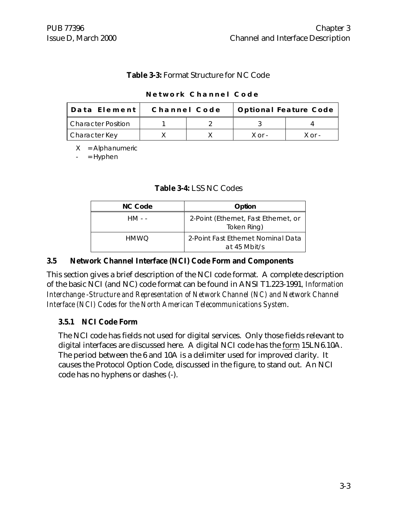#### **Table 3-3:** Format Structure for NC Code

| Data Element              | Channel Code | Optional Feature Code |            |
|---------------------------|--------------|-----------------------|------------|
| <b>Character Position</b> |              |                       |            |
| <b>Character Key</b>      |              | $X \cap r$ -          | $X$ or $-$ |

#### **Network Channel Code**

 $X =$  Alphanumeric

 $=$  Hyphen

#### **Table 3-4:** LSS NC Codes

| NC Code | Option                                              |
|---------|-----------------------------------------------------|
| HM - -  | 2-Point (Ethernet, Fast Ethernet, or<br>Token Ring) |
| HMWO    | 2-Point Fast Ethernet Nominal Data<br>at 45 Mbit/s  |

#### **3.5 Network Channel Interface (NCI) Code Form and Components**

This section gives a brief description of the NCI code format. A complete description of the basic NCI (and NC) code format can be found in ANSI T1.223-1991*, Information Interchange -Structure and Representation of Network Channel (NC) and Network Channel Interface (NCI) Codes for the North American Telecommunications System*.

#### **3.5.1 NCI Code Form**

The NCI code has fields not used for digital services. Only those fields relevant to digital interfaces are discussed here. A digital NCI code has the form 15LN6.10A. The period between the 6 and 10A is a delimiter used for improved clarity. It causes the Protocol Option Code, discussed in the figure, to stand out. An NCI code has no hyphens or dashes (-).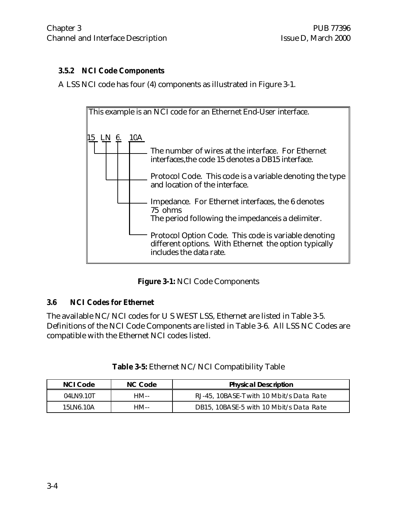#### **3.5.2 NCI Code Components**

A LSS NCI code has four (4) components as illustrated in Figure 3-1.



**Figure 3-1:** NCI Code Components

#### **3.6 NCI Codes for Ethernet**

The available NC/NCI codes for U S WEST LSS, Ethernet are listed in Table 3-5. Definitions of the NCI Code Components are listed in Table 3-6. All LSS NC Codes are compatible with the Ethernet NCI codes listed.

| NCI Code   | NC Code | <b>Physical Description</b>              |
|------------|---------|------------------------------------------|
| 041 N9.10T | HM--    | RJ-45, 10BASE-T with 10 Mbit/s Data Rate |
| 15J N6.10A | HM--    | DB15, 10BASE-5 with 10 Mbit/s Data Rate  |

| Table 3-5: Ethernet NC/NCI Compatibility Table |  |  |
|------------------------------------------------|--|--|
|------------------------------------------------|--|--|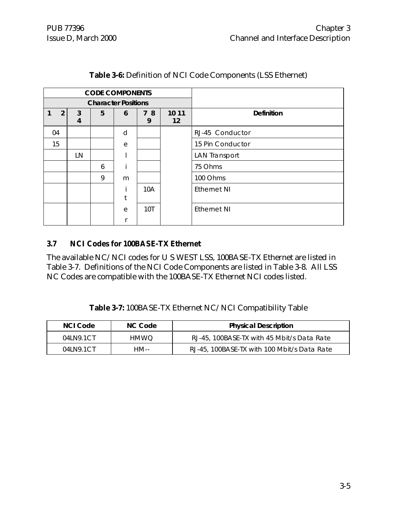|    | <b>CODE COMPONENTS</b> |        |   |                            |         |             |                      |
|----|------------------------|--------|---|----------------------------|---------|-------------|----------------------|
|    |                        |        |   | <b>Character Positions</b> |         |             |                      |
|    | 2                      | 3<br>4 | 5 | 6                          | 78<br>9 | 10 11<br>12 | <b>Definition</b>    |
| 04 |                        |        |   | d                          |         |             | RJ-45 Conductor      |
|    | 15                     |        |   | e                          |         |             | 15 Pin Conductor     |
|    |                        | LN     |   |                            |         |             | <b>LAN Transport</b> |
|    |                        |        | 6 |                            |         |             | 75 Ohms              |
|    |                        |        | 9 | m                          |         |             | 100 Ohms             |
|    |                        |        |   | t                          | 10A     |             | <b>Ethernet NI</b>   |
|    |                        |        |   | e                          | 10T     |             | <b>Ethernet NI</b>   |
|    |                        |        |   |                            |         |             |                      |

#### **Table 3-6:** Definition of NCI Code Components (LSS Ethernet)

#### **3.7 NCI Codes for 100BASE-TX Ethernet**

The available NC/NCI codes for U S WEST LSS, 100BASE-TX Ethernet are listed in Table 3-7. Definitions of the NCI Code Components are listed in Table 3-8. All LSS NC Codes are compatible with the 100BASE-TX Ethernet NCI codes listed.

**Table 3-7:** 100BASE-TX Ethernet NC/NCI Compatibility Table

| NCI Code      | NC Code | <b>Physical Description</b>                 |
|---------------|---------|---------------------------------------------|
| 041 N9.1CT    | HMWO.   | RJ-45, 100BASE-TX with 45 Mbit/s Data Rate  |
| 041 N 9.1 C T | HM--    | RJ-45, 100BASE-TX with 100 Mbit/s Data Rate |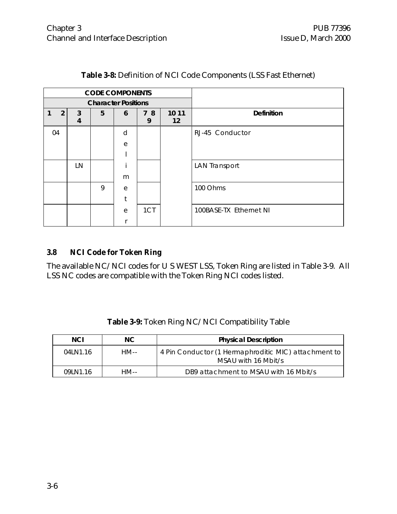|    | <b>CODE COMPONENTS</b>     |        |   |   |         |                            |                        |
|----|----------------------------|--------|---|---|---------|----------------------------|------------------------|
|    | <b>Character Positions</b> |        |   |   |         |                            |                        |
|    | $\overline{2}$             | 3<br>4 | 5 | 6 | 78<br>9 | 10 11<br>$12 \overline{ }$ | <b>Definition</b>      |
| 04 |                            |        |   | d |         |                            | RJ-45 Conductor        |
|    |                            |        |   | e |         |                            |                        |
|    |                            |        |   |   |         |                            |                        |
|    |                            | LN     |   |   |         |                            | <b>LAN Transport</b>   |
|    |                            |        |   | m |         |                            |                        |
|    |                            |        | 9 | e |         |                            | 100 Ohms               |
|    |                            |        |   | t |         |                            |                        |
|    |                            |        |   | e | 1CT     |                            | 100BASE-TX Ethernet NI |
|    |                            |        |   |   |         |                            |                        |

#### **Table 3-8:** Definition of NCI Code Components (LSS Fast Ethernet)

#### **3.8 NCI Code for Token Ring**

The available NC/NCI codes for U S WEST LSS, Token Ring are listed in Table 3-9. All LSS NC codes are compatible with the Token Ring NCI codes listed.

| <b>Table 3-9:</b> Token Ring NC/NCI Compatibility Table |  |
|---------------------------------------------------------|--|
|---------------------------------------------------------|--|

| <b>NCI</b> | NC.  | <b>Physical Description</b>                                                 |
|------------|------|-----------------------------------------------------------------------------|
| 04LN1.16   | HM-- | 4 Pin Conductor (1 Hermaphroditic MIC) attachment to<br>MSAU with 16 Mbit/s |
| 09 N1.16   | HM-- | DB9 attachment to MSAU with 16 Mbit/s                                       |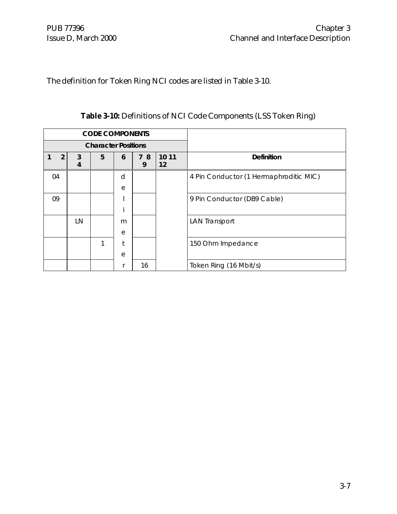The definition for Token Ring NCI codes are listed in Table 3-10.

|    | <b>CODE COMPONENTS</b>     |        |   |   |         |             |                                        |
|----|----------------------------|--------|---|---|---------|-------------|----------------------------------------|
|    | <b>Character Positions</b> |        |   |   |         |             |                                        |
|    | $\overline{2}$             | 3<br>4 | 5 | 6 | 78<br>9 | 10 11<br>12 | Definition                             |
| 04 |                            |        |   | d |         |             | 4 Pin Conductor (1 Hermaphroditic MIC) |
|    |                            |        |   | e |         |             |                                        |
| 09 |                            |        |   |   |         |             | 9 Pin Conductor (DB9 Cable)            |
|    |                            |        |   |   |         |             |                                        |
|    |                            | LN     |   | m |         |             | <b>LAN Transport</b>                   |
|    |                            |        |   | e |         |             |                                        |
|    |                            |        | 1 |   |         |             | 150 Ohm Impedance                      |
|    |                            |        |   | e |         |             |                                        |
|    |                            |        |   |   | 16      |             | Token Ring (16 Mbit/s)                 |

**Table 3-10:** Definitions of NCI Code Components (LSS Token Ring)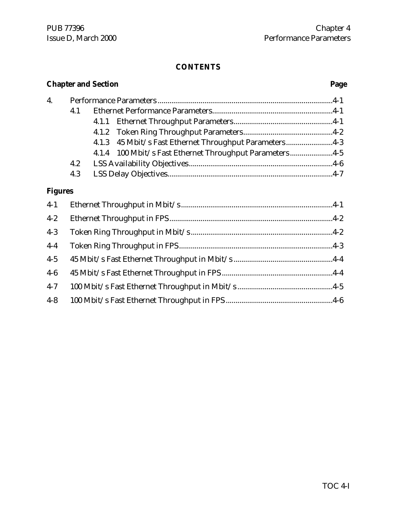#### **CONTENTS**

# **Chapter and Section Page** 4. Performance Parameters ..........................................................................................4-1 4.1 Ethernet Performance Parameters..............................................................4-1 4.1.1 Ethernet Throughput Parameters...................................................4-1 4.1.2 Token Ring Throughput Parameters..............................................4-2 4.1.3 45 Mbit/s Fast Ethernet Throughput Parameters ........................4-3 4.1.4 100 Mbit/s Fast Ethernet Throughput Parameters ......................4-5 4.2 LSS Availability Objectives..........................................................................4-6 4.3 LSS Delay Objectives.....................................................................................4-7 **Figures** 4-1 Ethernet Throughput in Mbit/s ..............................................................................4-1 4-2 Ethernet Throughput in FPS....................................................................................4-2 4-3 Token Ring Throughput in Mbit/s.........................................................................4-2 4-4 Token Ring Throughput in FPS...............................................................................4-3 4-5 45 Mbit/s Fast Ethernet Throughput in Mbit/s ...................................................4-4 4-6 45 Mbit/s Fast Ethernet Throughput in FPS .........................................................4-4 4-7 100 Mbit/s Fast Ethernet Throughput in Mbit/s .................................................4-5 4-8 100 Mbit/s Fast Ethernet Throughput in FPS .......................................................4-6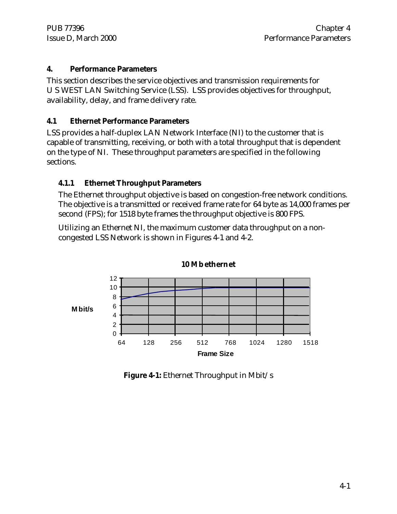#### **4. Performance Parameters**

This section describes the service objectives and transmission requirements for U S WEST LAN Switching Service (LSS). LSS provides objectives for throughput, availability, delay, and frame delivery rate.

#### **4.1 Ethernet Performance Parameters**

LSS provides a half-duplex LAN Network Interface (NI) to the customer that is capable of transmitting, receiving, or both with a total throughput that is dependent on the type of NI. These throughput parameters are specified in the following sections.

#### **4.1.1 Ethernet Throughput Parameters**

The Ethernet throughput objective is based on congestion-free network conditions. The objective is a transmitted or received frame rate for 64 byte as 14,000 frames per second (FPS); for 1518 byte frames the throughput objective is 800 FPS.

Utilizing an Ethernet NI, the maximum customer data throughput on a noncongested LSS Network is shown in Figures 4-1 and 4-2.



**10 Mbethernet**

**Figure 4-1:** Ethernet Throughput in Mbit/s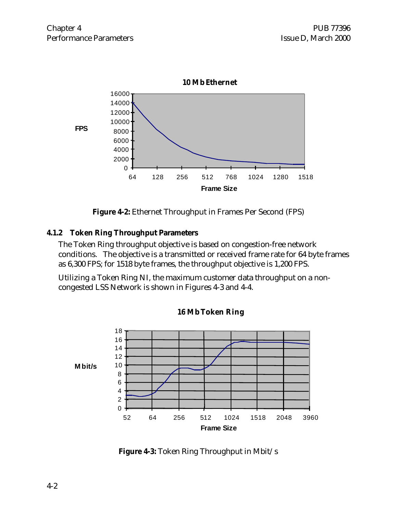

**Figure 4-2:** Ethernet Throughput in Frames Per Second (FPS)

#### **4.1.2 Token Ring Throughput Parameters**

The Token Ring throughput objective is based on congestion-free network conditions. The objective is a transmitted or received frame rate for 64 byte frames as 6,300 FPS; for 1518 byte frames, the throughput objective is 1,200 FPS.

Utilizing a Token Ring NI, the maximum customer data throughput on a noncongested LSS Network is shown in Figures 4-3 and 4-4.



**MbToken Ring**

**Figure 4-3:** Token Ring Throughput in Mbit/s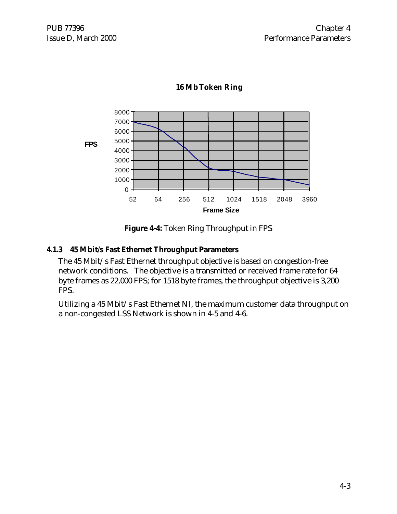

#### **16 MbToken Ring**

**Figure 4-4:** Token Ring Throughput in FPS

#### **4.1.3 45 Mbit/s Fast Ethernet Throughput Parameters**

The 45 Mbit/s Fast Ethernet throughput objective is based on congestion-free network conditions. The objective is a transmitted or received frame rate for 64 byte frames as 22,000 FPS; for 1518 byte frames, the throughput objective is 3,200 FPS.

Utilizing a 45 Mbit/s Fast Ethernet NI, the maximum customer data throughput on a non-congested LSS Network is shown in 4-5 and 4-6.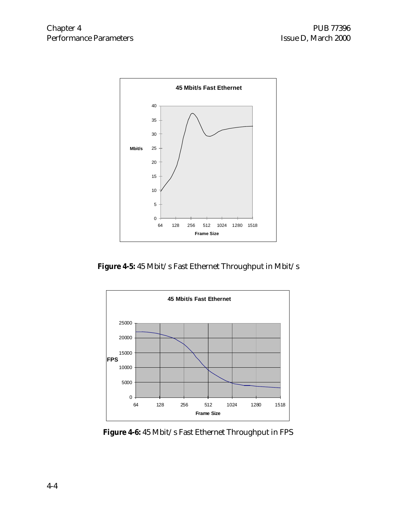

**Figure 4-5:** 45 Mbit/s Fast Ethernet Throughput in Mbit/s



**Figure 4-6:** 45 Mbit/s Fast Ethernet Throughput in FPS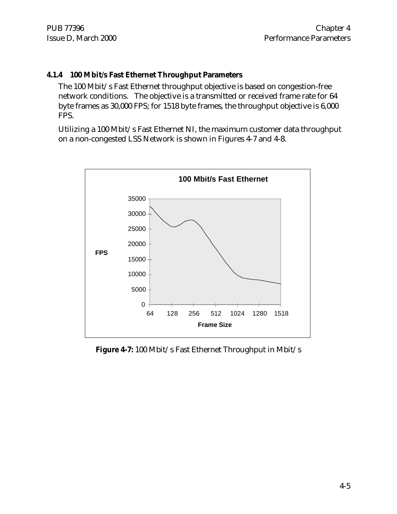#### **4.1.4 100 Mbit/s Fast Ethernet Throughput Parameters**

The 100 Mbit/s Fast Ethernet throughput objective is based on congestion-free network conditions. The objective is a transmitted or received frame rate for 64 byte frames as 30,000 FPS; for 1518 byte frames, the throughput objective is 6,000 FPS.

Utilizing a 100 Mbit/s Fast Ethernet NI, the maximum customer data throughput on a non-congested LSS Network is shown in Figures 4-7 and 4-8.



**Figure 4-7:** 100 Mbit/s Fast Ethernet Throughput in Mbit/s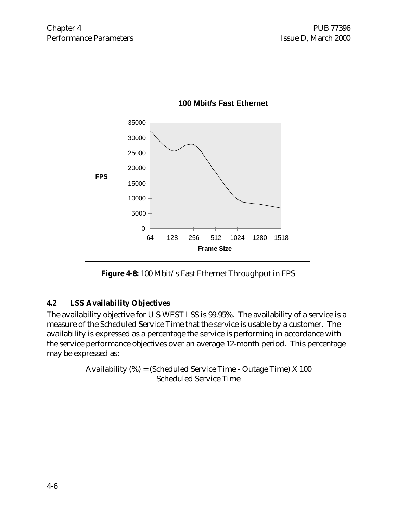

**Figure 4-8:** 100 Mbit/s Fast Ethernet Throughput in FPS

# **4.2 LSS Availability Objectives**

The availability objective for U S WEST LSS is 99.95%. The availability of a service is a measure of the Scheduled Service Time that the service is usable by a customer. The availability is expressed as a percentage the service is performing in accordance with the service performance objectives over an average 12-month period. This percentage may be expressed as:

> Availability (%) = (Scheduled Service Time - Outage Time) X 100 Scheduled Service Time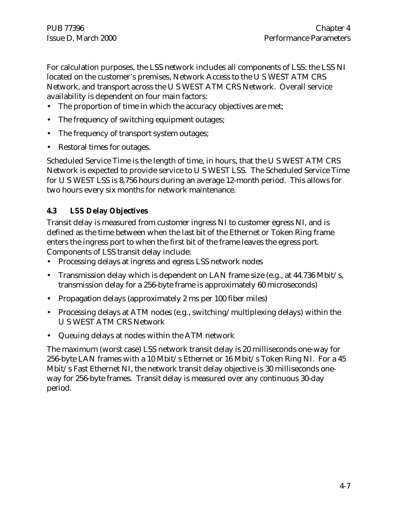For calculation purposes, the LSS network includes all components of LSS: the LSS NI located on the customer's premises, Network Access to the U S WEST ATM CRS Network, and transport across the U S WEST ATM CRS Network. Overall service availability is dependent on four main factors:

- The proportion of time in which the accuracy objectives are met;
- The frequency of switching equipment outages;
- The frequency of transport system outages;
- Restoral times for outages.

Scheduled Service Time is the length of time, in hours, that the U S WEST ATM CRS Network is expected to provide service to U S WEST LSS. The Scheduled Service Time for U S WEST LSS is 8,756 hours during an average 12-month period. This allows for two hours every six months for network maintenance.

#### **4.3 LSS Delay Objectives**

Transit delay is measured from customer ingress NI to customer egress NI, and is defined as the time between when the last bit of the Ethernet or Token Ring frame enters the ingress port to when the first bit of the frame leaves the egress port. Components of LSS transit delay include:

- Processing delays at ingress and egress LSS network nodes
- Transmission delay which is dependent on LAN frame size (e.g., at 44.736 Mbit/s, transmission delay for a 256-byte frame is approximately 60 microseconds)
- Propagation delays (approximately 2 ms per 100 fiber miles)
- Processing delays at ATM nodes (e.g., switching/multiplexing delays) within the U S WEST ATM CRS Network
- Queuing delays at nodes within the ATM network

The maximum (worst case) LSS network transit delay is 20 milliseconds one-way for 256-byte LAN frames with a 10 Mbit/s Ethernet or 16 Mbit/s Token Ring NI. For a 45 Mbit/s Fast Ethernet NI, the network transit delay objective is 30 milliseconds oneway for 256-byte frames. Transit delay is measured over any continuous 30-day period.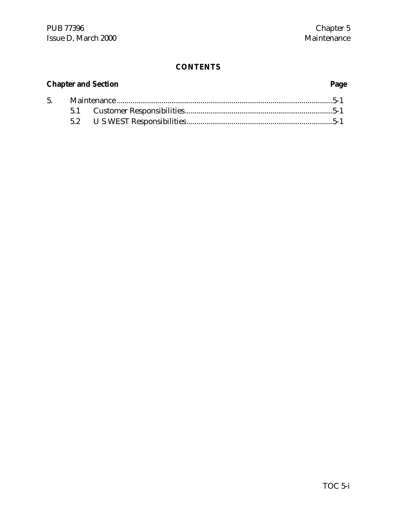# **CONTENTS**

# **Chapter and Section Page**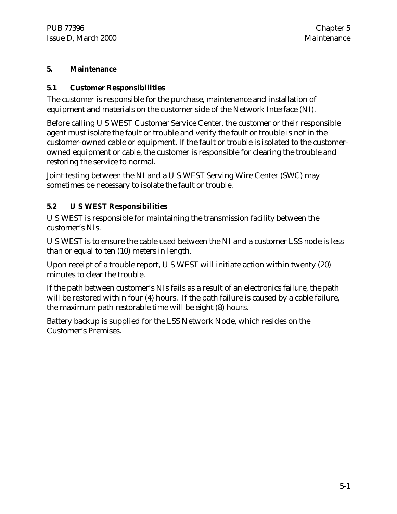#### **5. Maintenance**

#### **5.1 Customer Responsibilities**

The customer is responsible for the purchase, maintenance and installation of equipment and materials on the customer side of the Network Interface (NI).

Before calling U S WEST Customer Service Center, the customer or their responsible agent must isolate the fault or trouble and verify the fault or trouble is not in the customer-owned cable or equipment. If the fault or trouble is isolated to the customerowned equipment or cable, the customer is responsible for clearing the trouble and restoring the service to normal.

Joint testing between the NI and a U S WEST Serving Wire Center (SWC) may sometimes be necessary to isolate the fault or trouble.

### **5.2 U S WEST Responsibilities**

U S WEST is responsible for maintaining the transmission facility between the customer's NIs.

U S WEST is to ensure the cable used between the NI and a customer LSS node is less than or equal to ten (10) meters in length.

Upon receipt of a trouble report, U S WEST will initiate action within twenty (20) minutes to clear the trouble.

If the path between customer's NIs fails as a result of an electronics failure, the path will be restored within four (4) hours. If the path failure is caused by a cable failure, the maximum path restorable time will be eight (8) hours.

Battery backup is supplied for the LSS Network Node, which resides on the Customer's Premises.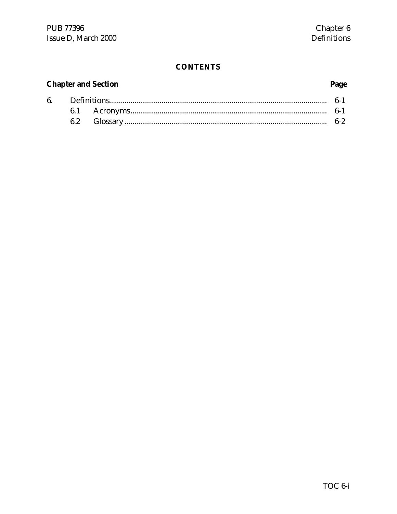# **CONTENTS**

# **Chapter and Section**

# Page

|  |  | $6-2$ |  |  |
|--|--|-------|--|--|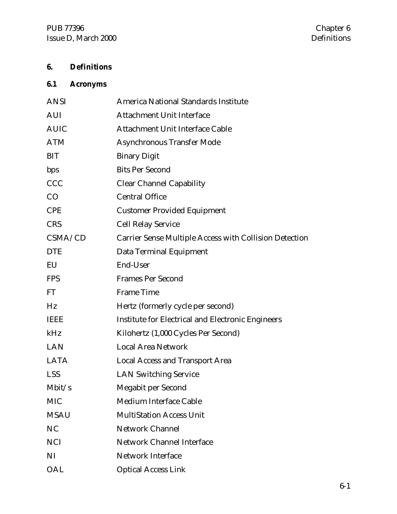# **6. Definitions**

# **6.1 Acronyms**

| <b>ANSI</b>    | America National Standards Institute                          |
|----------------|---------------------------------------------------------------|
| <b>AUI</b>     | <b>Attachment Unit Interface</b>                              |
| <b>AUIC</b>    | <b>Attachment Unit Interface Cable</b>                        |
| <b>ATM</b>     | <b>Asynchronous Transfer Mode</b>                             |
| <b>BIT</b>     | <b>Binary Digit</b>                                           |
| bps            | <b>Bits Per Second</b>                                        |
| <b>CCC</b>     | <b>Clear Channel Capability</b>                               |
| CO             | <b>Central Office</b>                                         |
| <b>CPE</b>     | <b>Customer Provided Equipment</b>                            |
| <b>CRS</b>     | <b>Cell Relay Service</b>                                     |
| CSMA/CD        | <b>Carrier Sense Multiple Access with Collision Detection</b> |
| <b>DTE</b>     | Data Terminal Equipment                                       |
| EU             | End-User                                                      |
| <b>FPS</b>     | <b>Frames Per Second</b>                                      |
| FT             | <b>Frame Time</b>                                             |
| Hz             | Hertz (formerly cycle per second)                             |
| <b>IEEE</b>    | <b>Institute for Electrical and Electronic Engineers</b>      |
| kHz            | Kilohertz (1,000 Cycles Per Second)                           |
| <b>LAN</b>     | <b>Local Area Network</b>                                     |
| <b>LATA</b>    | <b>Local Access and Transport Area</b>                        |
| <b>LSS</b>     | <b>LAN Switching Service</b>                                  |
| Mbit/s         | <b>Megabit per Second</b>                                     |
| <b>MIC</b>     | Medium Interface Cable                                        |
| <b>MSAU</b>    | <b>MultiStation Access Unit</b>                               |
| N <sub>C</sub> | <b>Network Channel</b>                                        |
| <b>NCI</b>     | <b>Network Channel Interface</b>                              |
| NI             | <b>Network Interface</b>                                      |
| OAL            | <b>Optical Access Link</b>                                    |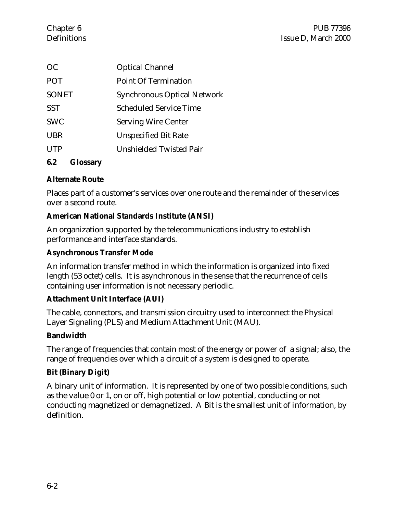| <sub>OC</sub> | <b>Optical Channel</b>             |
|---------------|------------------------------------|
| <b>POT</b>    | <b>Point Of Termination</b>        |
| <b>SONET</b>  | <b>Synchronous Optical Network</b> |
| <b>SST</b>    | Scheduled Service Time             |
| <b>SWC</b>    | <b>Serving Wire Center</b>         |
| <b>UBR</b>    | <b>Unspecified Bit Rate</b>        |
| <b>UTP</b>    | <b>Unshielded Twisted Pair</b>     |
|               |                                    |

#### **6.2 Glossary**

#### **Alternate Route**

Places part of a customer's services over one route and the remainder of the services over a second route.

#### **American National Standards Institute (ANSI)**

An organization supported by the telecommunications industry to establish performance and interface standards.

#### **Asynchronous Transfer Mode**

An information transfer method in which the information is organized into fixed length (53 octet) cells. It is asynchronous in the sense that the recurrence of cells containing user information is not necessary periodic.

#### **Attachment Unit Interface (AUI)**

The cable, connectors, and transmission circuitry used to interconnect the Physical Layer Signaling (PLS) and Medium Attachment Unit (MAU).

#### **Bandwidth**

The range of frequencies that contain most of the energy or power of a signal; also, the range of frequencies over which a circuit of a system is designed to operate.

#### **Bit (Binary Digit)**

A binary unit of information. It is represented by one of two possible conditions, such as the value 0 or 1, on or off, high potential or low potential, conducting or not conducting magnetized or demagnetized. A Bit is the smallest unit of information, by definition.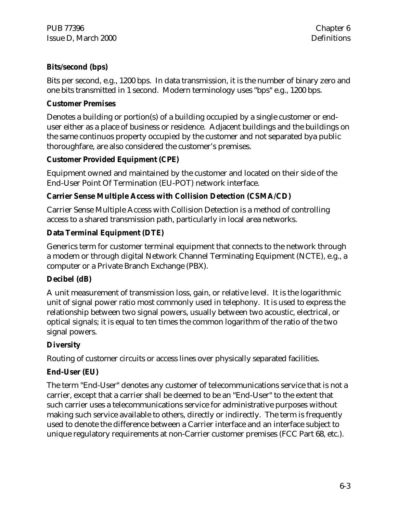#### **Bits/second (bps)**

Bits per second, e.g., 1200 bps. In data transmission, it is the number of binary zero and one bits transmitted in 1 second. Modern terminology uses "bps" e.g., 1200 bps.

#### **Customer Premises**

Denotes a building or portion(s) of a building occupied by a single customer or enduser either as a place of business or residence. Adjacent buildings and the buildings on the same continuos property occupied by the customer and not separated bya public thoroughfare, are also considered the customer's premises.

### **Customer Provided Equipment (CPE)**

Equipment owned and maintained by the customer and located on their side of the End-User Point Of Termination (EU-POT) network interface.

### **Carrier Sense Multiple Access with Collision Detection (CSMA/CD)**

Carrier Sense Multiple Access with Collision Detection is a method of controlling access to a shared transmission path, particularly in local area networks.

### **Data Terminal Equipment (DTE)**

Generics term for customer terminal equipment that connects to the network through a modem or through digital Network Channel Terminating Equipment (NCTE), e.g., a computer or a Private Branch Exchange (PBX).

#### **Decibel (dB)**

A unit measurement of transmission loss, gain, or relative level. It is the logarithmic unit of signal power ratio most commonly used in telephony. It is used to express the relationship between two signal powers, usually between two acoustic, electrical, or optical signals; it is equal to ten times the common logarithm of the ratio of the two signal powers.

### **Diversity**

Routing of customer circuits or access lines over physically separated facilities.

#### **End-User (EU)**

The term "End-User" denotes any customer of telecommunications service that is not a carrier, except that a carrier shall be deemed to be an "End-User" to the extent that such carrier uses a telecommunications service for administrative purposes without making such service available to others, directly or indirectly. The term is frequently used to denote the difference between a Carrier interface and an interface subject to unique regulatory requirements at non-Carrier customer premises (FCC Part 68, etc.).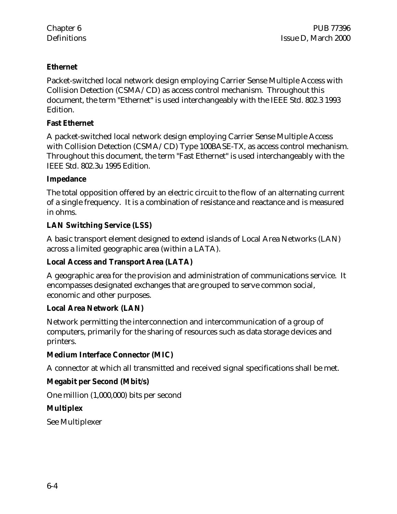#### **Ethernet**

Packet-switched local network design employing Carrier Sense Multiple Access with Collision Detection (CSMA/CD) as access control mechanism. Throughout this document, the term "Ethernet" is used interchangeably with the IEEE Std. 802.3 1993 Edition.

#### **Fast Ethernet**

A packet-switched local network design employing Carrier Sense Multiple Access with Collision Detection (CSMA/CD) Type 100BASE-TX, as access control mechanism. Throughout this document, the term "Fast Ethernet" is used interchangeably with the IEEE Std. 802.3u 1995 Edition.

#### **Impedance**

The total opposition offered by an electric circuit to the flow of an alternating current of a single frequency. It is a combination of resistance and reactance and is measured in ohms.

### **LAN Switching Service (LSS)**

A basic transport element designed to extend islands of Local Area Networks (LAN) across a limited geographic area (within a LATA).

#### **Local Access and Transport Area (LATA)**

A geographic area for the provision and administration of communications service. It encompasses designated exchanges that are grouped to serve common social, economic and other purposes.

#### **Local Area Network (LAN)**

Network permitting the interconnection and intercommunication of a group of computers, primarily for the sharing of resources such as data storage devices and printers.

#### **Medium Interface Connector (MIC)**

A connector at which all transmitted and received signal specifications shall be met.

### **Megabit per Second (Mbit/s)**

One million (1,000,000) bits per second

#### **Multiplex**

See Multiplexer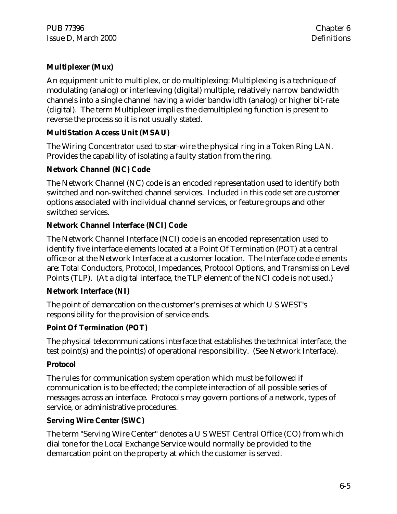### **Multiplexer (Mux)**

An equipment unit to multiplex, or do multiplexing: Multiplexing is a technique of modulating (analog) or interleaving (digital) multiple, relatively narrow bandwidth channels into a single channel having a wider bandwidth (analog) or higher bit-rate (digital). The term Multiplexer implies the demultiplexing function is present to reverse the process so it is not usually stated.

#### **MultiStation Access Unit (MSAU)**

The Wiring Concentrator used to star-wire the physical ring in a Token Ring LAN. Provides the capability of isolating a faulty station from the ring.

#### **Network Channel (NC) Code**

The Network Channel (NC) code is an encoded representation used to identify both switched and non-switched channel services. Included in this code set are customer options associated with individual channel services, or feature groups and other switched services.

#### **Network Channel Interface (NCI) Code**

The Network Channel Interface (NCI) code is an encoded representation used to identify five interface elements located at a Point Of Termination (POT) at a central office or at the Network Interface at a customer location. The Interface code elements are: Total Conductors, Protocol, Impedances, Protocol Options, and Transmission Level Points (TLP). (At a digital interface, the TLP element of the NCI code is not used.)

#### **Network Interface (NI)**

The point of demarcation on the customer's premises at which U S WEST's responsibility for the provision of service ends.

#### **Point Of Termination (POT)**

The physical telecommunications interface that establishes the technical interface, the test point(s) and the point(s) of operational responsibility. (See Network Interface).

#### **Protocol**

The rules for communication system operation which must be followed if communication is to be effected; the complete interaction of all possible series of messages across an interface. Protocols may govern portions of a network, types of service, or administrative procedures.

#### **Serving Wire Center (SWC)**

The term "Serving Wire Center" denotes a U S WEST Central Office (CO) from which dial tone for the Local Exchange Service would normally be provided to the demarcation point on the property at which the customer is served.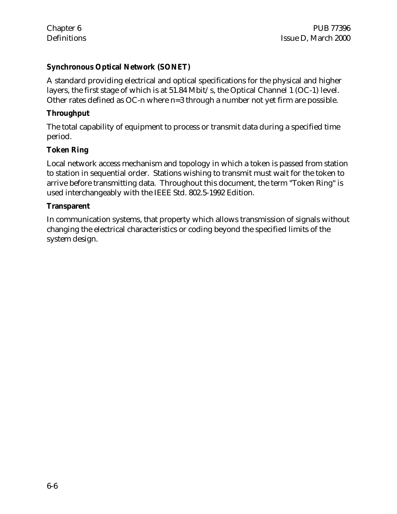#### **Synchronous Optical Network (SONET)**

A standard providing electrical and optical specifications for the physical and higher layers, the first stage of which is at 51.84 Mbit/s, the Optical Channel 1 (OC-1) level. Other rates defined as OC-n where n=3 through a number not yet firm are possible.

#### **Throughput**

The total capability of equipment to process or transmit data during a specified time period.

#### **Token Ring**

Local network access mechanism and topology in which a token is passed from station to station in sequential order. Stations wishing to transmit must wait for the token to arrive before transmitting data. Throughout this document, the term "Token Ring" is used interchangeably with the IEEE Std. 802.5-1992 Edition.

#### **Transparent**

In communication systems, that property which allows transmission of signals without changing the electrical characteristics or coding beyond the specified limits of the system design.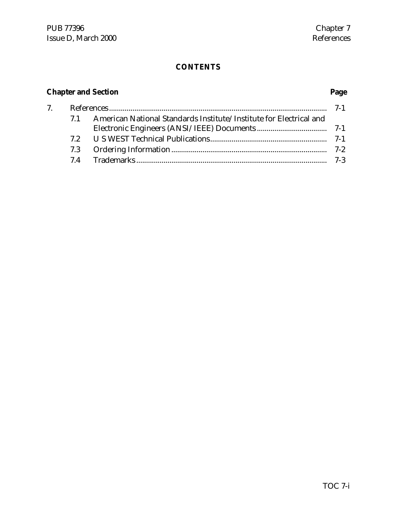# **CONTENTS**

# **Chapter and Section Page**

| 7 <sup>1</sup> |    |                                                                    |  |
|----------------|----|--------------------------------------------------------------------|--|
|                | 71 | American National Standards Institute/Institute for Electrical and |  |
|                |    |                                                                    |  |
|                |    |                                                                    |  |
|                |    |                                                                    |  |
|                |    |                                                                    |  |
|                |    |                                                                    |  |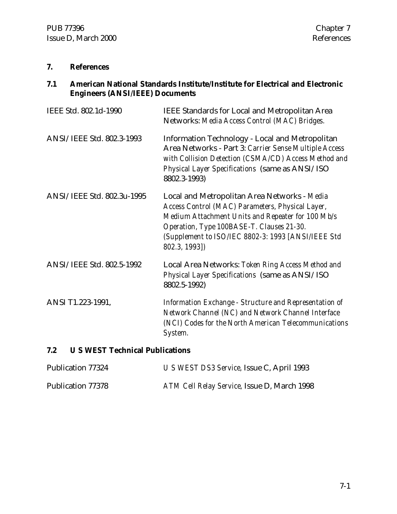#### **7. References**

#### **7.1 American National Standards Institute/Institute for Electrical and Electronic Engineers (ANSI/IEEE) Documents**

| IEEE Std. 802.1d-1990      | IEEE Standards for Local and Metropolitan Area<br>Networks: Media Access Control (MAC) Bridges.                                                                                                                                                                           |
|----------------------------|---------------------------------------------------------------------------------------------------------------------------------------------------------------------------------------------------------------------------------------------------------------------------|
| ANSI/IEEE Std. 802.3-1993  | <b>Information Technology - Local and Metropolitan</b><br>Area Networks - Part 3: Carrier Sense Multiple Access<br>with Collision Detection (CSMA/CD) Access Method and<br>Physical Layer Specifications (same as ANSI/ISO<br>8802.3-1993)                                |
| ANSI/IEEE Std. 802.3u-1995 | Local and Metropolitan Area Networks - Media<br>Access Control (MAC) Parameters, Physical Layer,<br>Medium Attachment Units and Repeater for 100 Mb/s<br>Operation, Type 100BASE-T. Clauses 21-30.<br>(Supplement to ISO/IEC 8802-3: 1993 [ANSI/IEEE Std<br>802.3, 1993]) |
| ANSI/IEEE Std. 802.5-1992  | Local Area Networks: Token Ring Access Method and<br>Physical Layer Specifications (same as ANSI/ISO<br>8802.5-1992)                                                                                                                                                      |
| ANSI T1.223-1991,          | Information Exchange - Structure and Representation of<br>Network Channel (NC) and Network Channel Interface<br>(NCI) Codes for the North American Telecommunications<br>System.                                                                                          |

### **7.2 U S WEST Technical Publications**

| Publication 77324 | U S WEST DS3 Service, Issue C, April 1993   |
|-------------------|---------------------------------------------|
| Publication 77378 | ATM Cell Relay Service, Issue D, March 1998 |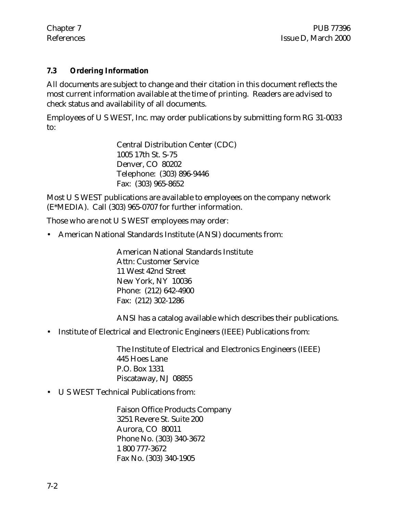#### **7.3 Ordering Information**

All documents are subject to change and their citation in this document reflects the most current information available at the time of printing. Readers are advised to check status and availability of all documents.

Employees of U S WEST, Inc. may order publications by submitting form RG 31-0033 to:

> Central Distribution Center (CDC) 1005 17th St. S-75 Denver, CO 80202 Telephone: (303) 896-9446 Fax: (303) 965-8652

Most U S WEST publications are available to employees on the company network (E\*MEDIA). Call (303) 965-0707 for further information.

Those who are not U S WEST employees may order:

• American National Standards Institute (ANSI) documents from:

American National Standards Institute Attn: Customer Service 11 West 42nd Street New York, NY 10036 Phone: (212) 642-4900 Fax: (212) 302-1286

ANSI has a catalog available which describes their publications.

• Institute of Electrical and Electronic Engineers (IEEE) Publications from:

The Institute of Electrical and Electronics Engineers (IEEE) 445 Hoes Lane P.O. Box 1331 Piscataway, NJ 08855

• U S WEST Technical Publications from:

Faison Office Products Company 3251 Revere St. Suite 200 Aurora, CO 80011 Phone No. (303) 340-3672 1 800 777-3672 Fax No. (303) 340-1905